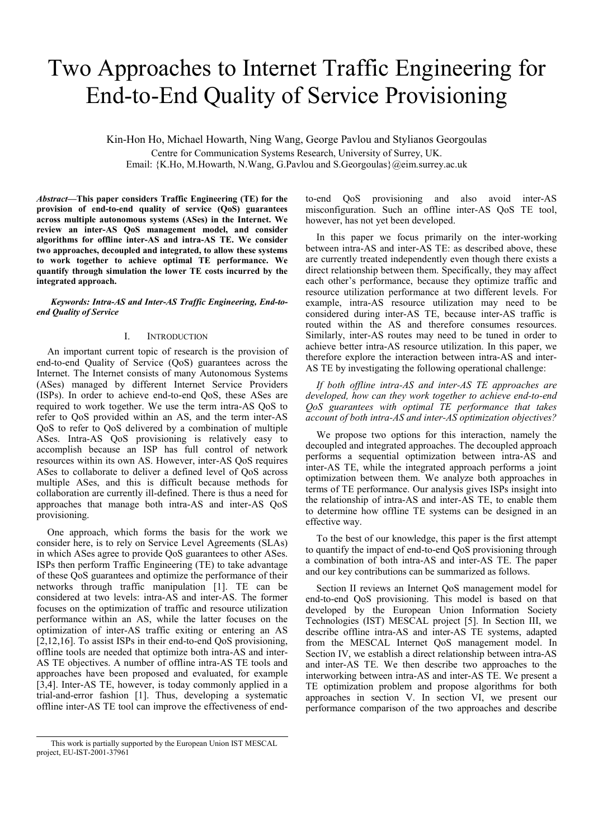# Two Approaches to Internet Traffic Engineering for End-to-End Quality of Service Provisioning

Kin-Hon Ho, Michael Howarth, Ning Wang, George Pavlou and Stylianos Georgoulas Centre for Communication Systems Research, University of Surrey, UK. Email: {K.Ho, M.Howarth, N.Wang, G.Pavlou and S.Georgoulas}@eim.surrey.ac.uk

*Abstract***—This paper considers Traffic Engineering (TE) for the provision of end-to-end quality of service (QoS) guarantees across multiple autonomous systems (ASes) in the Internet. We review an inter-AS QoS management model, and consider algorithms for offline inter-AS and intra-AS TE. We consider two approaches, decoupled and integrated, to allow these systems to work together to achieve optimal TE performance. We quantify through simulation the lower TE costs incurred by the integrated approach.** 

*Keywords: Intra-AS and Inter-AS Traffic Engineering, End-toend Quality of Service* 

## I. INTRODUCTION

An important current topic of research is the provision of end-to-end Quality of Service (QoS) guarantees across the Internet. The Internet consists of many Autonomous Systems (ASes) managed by different Internet Service Providers (ISPs). In order to achieve end-to-end QoS, these ASes are required to work together. We use the term intra-AS QoS to refer to QoS provided within an AS, and the term inter-AS QoS to refer to QoS delivered by a combination of multiple ASes. Intra-AS QoS provisioning is relatively easy to accomplish because an ISP has full control of network resources within its own AS. However, inter-AS QoS requires ASes to collaborate to deliver a defined level of QoS across multiple ASes, and this is difficult because methods for collaboration are currently ill-defined. There is thus a need for approaches that manage both intra-AS and inter-AS QoS provisioning.

One approach, which forms the basis for the work we consider here, is to rely on Service Level Agreements (SLAs) in which ASes agree to provide QoS guarantees to other ASes. ISPs then perform Traffic Engineering (TE) to take advantage of these QoS guarantees and optimize the performance of their networks through traffic manipulation [1]. TE can be considered at two levels: intra-AS and inter-AS. The former focuses on the optimization of traffic and resource utilization performance within an AS, while the latter focuses on the optimization of inter-AS traffic exiting or entering an AS [2,12,16]. To assist ISPs in their end-to-end OoS provisioning. offline tools are needed that optimize both intra-AS and inter-AS TE objectives. A number of offline intra-AS TE tools and approaches have been proposed and evaluated, for example [3,4]. Inter-AS TE, however, is today commonly applied in a trial-and-error fashion [1]. Thus, developing a systematic offline inter-AS TE tool can improve the effectiveness of end-

to-end QoS provisioning and also avoid inter-AS misconfiguration. Such an offline inter-AS QoS TE tool, however, has not yet been developed.

In this paper we focus primarily on the inter-working between intra-AS and inter-AS TE: as described above, these are currently treated independently even though there exists a direct relationship between them. Specifically, they may affect each other's performance, because they optimize traffic and resource utilization performance at two different levels. For example, intra-AS resource utilization may need to be considered during inter-AS TE, because inter-AS traffic is routed within the AS and therefore consumes resources. Similarly, inter-AS routes may need to be tuned in order to achieve better intra-AS resource utilization. In this paper, we therefore explore the interaction between intra-AS and inter-AS TE by investigating the following operational challenge:

*If both offline intra-AS and inter-AS TE approaches are developed, how can they work together to achieve end-to-end QoS guarantees with optimal TE performance that takes account of both intra-AS and inter-AS optimization objectives?* 

We propose two options for this interaction, namely the decoupled and integrated approaches. The decoupled approach performs a sequential optimization between intra-AS and inter-AS TE, while the integrated approach performs a joint optimization between them. We analyze both approaches in terms of TE performance. Our analysis gives ISPs insight into the relationship of intra-AS and inter-AS TE, to enable them to determine how offline TE systems can be designed in an effective way.

To the best of our knowledge, this paper is the first attempt to quantify the impact of end-to-end QoS provisioning through a combination of both intra-AS and inter-AS TE. The paper and our key contributions can be summarized as follows.

Section II reviews an Internet QoS management model for end-to-end QoS provisioning. This model is based on that developed by the European Union Information Society Technologies (IST) MESCAL project [5]. In Section III, we describe offline intra-AS and inter-AS TE systems, adapted from the MESCAL Internet QoS management model. In Section IV, we establish a direct relationship between intra-AS and inter-AS TE. We then describe two approaches to the interworking between intra-AS and inter-AS TE. We present a TE optimization problem and propose algorithms for both approaches in section V. In section VI, we present our performance comparison of the two approaches and describe

This work is partially supported by the European Union IST MESCAL project, EU-IST-2001-37961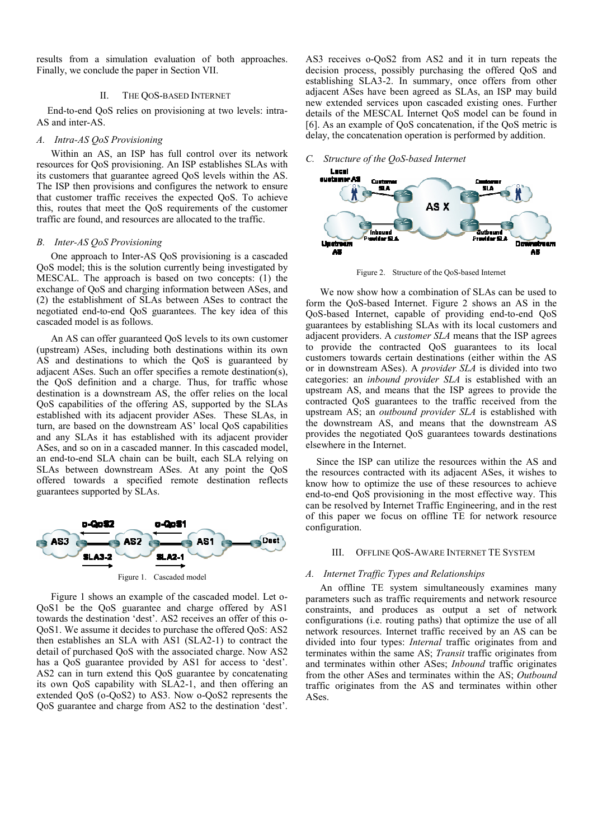results from a simulation evaluation of both approaches. Finally, we conclude the paper in Section VII.

#### II. THE QOS-BASED INTERNET

End-to-end QoS relies on provisioning at two levels: intra-AS and inter-AS.

# *A. Intra-AS QoS Provisioning*

Within an AS, an ISP has full control over its network resources for QoS provisioning. An ISP establishes SLAs with its customers that guarantee agreed QoS levels within the AS. The ISP then provisions and configures the network to ensure that customer traffic receives the expected QoS. To achieve this, routes that meet the QoS requirements of the customer traffic are found, and resources are allocated to the traffic.

#### *B. Inter-AS QoS Provisioning*

One approach to Inter-AS QoS provisioning is a cascaded QoS model; this is the solution currently being investigated by MESCAL. The approach is based on two concepts: (1) the exchange of QoS and charging information between ASes, and (2) the establishment of SLAs between ASes to contract the negotiated end-to-end QoS guarantees. The key idea of this cascaded model is as follows.

An AS can offer guaranteed QoS levels to its own customer (upstream) ASes, including both destinations within its own AS and destinations to which the QoS is guaranteed by adjacent ASes. Such an offer specifies a remote destination(s), the QoS definition and a charge. Thus, for traffic whose destination is a downstream AS, the offer relies on the local QoS capabilities of the offering AS, supported by the SLAs established with its adjacent provider ASes. These SLAs, in turn, are based on the downstream AS' local QoS capabilities and any SLAs it has established with its adjacent provider ASes, and so on in a cascaded manner. In this cascaded model, an end-to-end SLA chain can be built, each SLA relying on SLAs between downstream ASes. At any point the QoS offered towards a specified remote destination reflects guarantees supported by SLAs.



Figure 1 shows an example of the cascaded model. Let o-QoS1 be the QoS guarantee and charge offered by AS1 towards the destination 'dest'. AS2 receives an offer of this o-QoS1. We assume it decides to purchase the offered QoS: AS2 then establishes an SLA with AS1 (SLA2-1) to contract the detail of purchased QoS with the associated charge. Now AS2 has a QoS guarantee provided by AS1 for access to 'dest'. AS2 can in turn extend this QoS guarantee by concatenating its own QoS capability with SLA2-1, and then offering an extended QoS (o-QoS2) to AS3. Now o-QoS2 represents the QoS guarantee and charge from AS2 to the destination 'dest'.

AS3 receives o-QoS2 from AS2 and it in turn repeats the decision process, possibly purchasing the offered QoS and establishing SLA3-2. In summary, once offers from other adjacent ASes have been agreed as SLAs, an ISP may build new extended services upon cascaded existing ones. Further details of the MESCAL Internet QoS model can be found in [6]. As an example of QoS concatenation, if the QoS metric is delay, the concatenation operation is performed by addition.

## *C. Structure of the QoS-based Internet*



Figure 2. Structure of the QoS-based Internet

We now show how a combination of SLAs can be used to form the QoS-based Internet. Figure 2 shows an AS in the QoS-based Internet, capable of providing end-to-end QoS guarantees by establishing SLAs with its local customers and adjacent providers. A *customer SLA* means that the ISP agrees to provide the contracted QoS guarantees to its local customers towards certain destinations (either within the AS or in downstream ASes). A *provider SLA* is divided into two categories: an *inbound provider SLA* is established with an upstream AS, and means that the ISP agrees to provide the contracted QoS guarantees to the traffic received from the upstream AS; an *outbound provider SLA* is established with the downstream AS, and means that the downstream AS provides the negotiated QoS guarantees towards destinations elsewhere in the Internet.

Since the ISP can utilize the resources within the AS and the resources contracted with its adjacent ASes, it wishes to know how to optimize the use of these resources to achieve end-to-end QoS provisioning in the most effective way. This can be resolved by Internet Traffic Engineering, and in the rest of this paper we focus on offline TE for network resource configuration.

#### III. OFFLINE QOS-AWARE INTERNET TE SYSTEM

## *A. Internet Traffic Types and Relationships*

An offline TE system simultaneously examines many parameters such as traffic requirements and network resource constraints, and produces as output a set of network configurations (i.e. routing paths) that optimize the use of all network resources. Internet traffic received by an AS can be divided into four types: *Internal* traffic originates from and terminates within the same AS; *Transit* traffic originates from and terminates within other ASes; *Inbound* traffic originates from the other ASes and terminates within the AS; *Outbound* traffic originates from the AS and terminates within other ASes.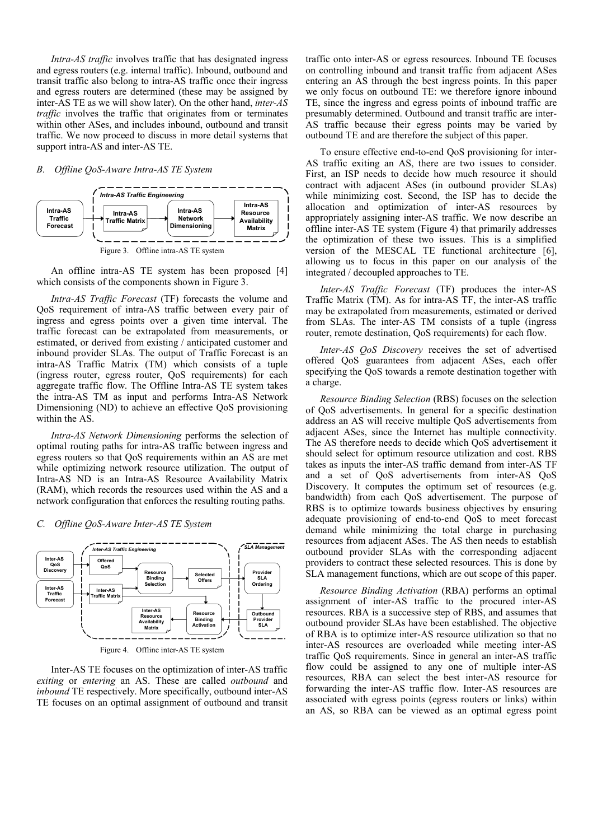*Intra-AS traffic* involves traffic that has designated ingress and egress routers (e.g. internal traffic). Inbound, outbound and transit traffic also belong to intra-AS traffic once their ingress and egress routers are determined (these may be assigned by inter-AS TE as we will show later). On the other hand, *inter-AS traffic* involves the traffic that originates from or terminates within other ASes, and includes inbound, outbound and transit traffic. We now proceed to discuss in more detail systems that support intra-AS and inter-AS TE.

#### *B. Offline QoS-Aware Intra-AS TE System*



An offline intra-AS TE system has been proposed [4] which consists of the components shown in Figure 3.

*Intra-AS Traffic Forecast* (TF) forecasts the volume and QoS requirement of intra-AS traffic between every pair of ingress and egress points over a given time interval. The traffic forecast can be extrapolated from measurements, or estimated, or derived from existing / anticipated customer and inbound provider SLAs. The output of Traffic Forecast is an intra-AS Traffic Matrix (TM) which consists of a tuple (ingress router, egress router, QoS requirements) for each aggregate traffic flow. The Offline Intra-AS TE system takes the intra-AS TM as input and performs Intra-AS Network Dimensioning (ND) to achieve an effective QoS provisioning within the AS.

*Intra-AS Network Dimensioning* performs the selection of optimal routing paths for intra-AS traffic between ingress and egress routers so that QoS requirements within an AS are met while optimizing network resource utilization. The output of Intra-AS ND is an Intra-AS Resource Availability Matrix (RAM), which records the resources used within the AS and a network configuration that enforces the resulting routing paths.



#### *C. Offline QoS-Aware Inter-AS TE System*

Inter-AS TE focuses on the optimization of inter-AS traffic *exiting* or *entering* an AS. These are called *outbound* and *inbound* TE respectively. More specifically, outbound inter-AS TE focuses on an optimal assignment of outbound and transit traffic onto inter-AS or egress resources. Inbound TE focuses on controlling inbound and transit traffic from adjacent ASes entering an AS through the best ingress points. In this paper we only focus on outbound TE: we therefore ignore inbound TE, since the ingress and egress points of inbound traffic are presumably determined. Outbound and transit traffic are inter-AS traffic because their egress points may be varied by outbound TE and are therefore the subject of this paper.

To ensure effective end-to-end QoS provisioning for inter-AS traffic exiting an AS, there are two issues to consider. First, an ISP needs to decide how much resource it should contract with adjacent ASes (in outbound provider SLAs) while minimizing cost. Second, the ISP has to decide the allocation and optimization of inter-AS resources by appropriately assigning inter-AS traffic. We now describe an offline inter-AS TE system (Figure 4) that primarily addresses the optimization of these two issues. This is a simplified version of the MESCAL TE functional architecture [6], allowing us to focus in this paper on our analysis of the integrated / decoupled approaches to TE.

*Inter-AS Traffic Forecast* (TF) produces the inter-AS Traffic Matrix (TM). As for intra-AS TF, the inter-AS traffic may be extrapolated from measurements, estimated or derived from SLAs. The inter-AS TM consists of a tuple (ingress router, remote destination, QoS requirements) for each flow.

*Inter-AS QoS Discovery* receives the set of advertised offered QoS guarantees from adjacent ASes, each offer specifying the QoS towards a remote destination together with a charge.

*Resource Binding Selection* (RBS) focuses on the selection of QoS advertisements. In general for a specific destination address an AS will receive multiple QoS advertisements from adjacent ASes, since the Internet has multiple connectivity. The AS therefore needs to decide which QoS advertisement it should select for optimum resource utilization and cost. RBS takes as inputs the inter-AS traffic demand from inter-AS TF and a set of QoS advertisements from inter-AS QoS Discovery. It computes the optimum set of resources (e.g. bandwidth) from each QoS advertisement. The purpose of RBS is to optimize towards business objectives by ensuring adequate provisioning of end-to-end QoS to meet forecast demand while minimizing the total charge in purchasing resources from adjacent ASes. The AS then needs to establish outbound provider SLAs with the corresponding adjacent providers to contract these selected resources. This is done by SLA management functions, which are out scope of this paper.

*Resource Binding Activation* (RBA) performs an optimal assignment of inter-AS traffic to the procured inter-AS resources. RBA is a successive step of RBS, and assumes that outbound provider SLAs have been established. The objective of RBA is to optimize inter-AS resource utilization so that no inter-AS resources are overloaded while meeting inter-AS traffic QoS requirements. Since in general an inter-AS traffic flow could be assigned to any one of multiple inter-AS resources, RBA can select the best inter-AS resource for forwarding the inter-AS traffic flow. Inter-AS resources are associated with egress points (egress routers or links) within an AS, so RBA can be viewed as an optimal egress point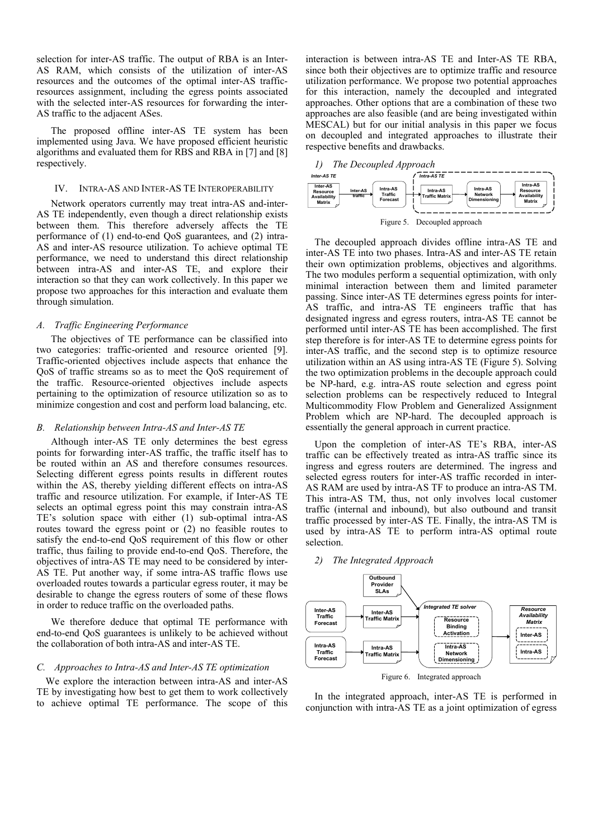selection for inter-AS traffic. The output of RBA is an Inter-AS RAM, which consists of the utilization of inter-AS resources and the outcomes of the optimal inter-AS trafficresources assignment, including the egress points associated with the selected inter-AS resources for forwarding the inter-AS traffic to the adjacent ASes.

The proposed offline inter-AS TE system has been implemented using Java. We have proposed efficient heuristic algorithms and evaluated them for RBS and RBA in [7] and [8] respectively.

#### IV. INTRA-AS AND INTER-AS TE INTEROPERABILITY

Network operators currently may treat intra-AS and-inter-AS TE independently, even though a direct relationship exists between them. This therefore adversely affects the TE performance of (1) end-to-end QoS guarantees, and (2) intra-AS and inter-AS resource utilization. To achieve optimal TE performance, we need to understand this direct relationship between intra-AS and inter-AS TE, and explore their interaction so that they can work collectively. In this paper we propose two approaches for this interaction and evaluate them through simulation.

#### *A. Traffic Engineering Performance*

The objectives of TE performance can be classified into two categories: traffic-oriented and resource oriented [9]. Traffic-oriented objectives include aspects that enhance the QoS of traffic streams so as to meet the QoS requirement of the traffic. Resource-oriented objectives include aspects pertaining to the optimization of resource utilization so as to minimize congestion and cost and perform load balancing, etc.

#### *B. Relationship between Intra-AS and Inter-AS TE*

Although inter-AS TE only determines the best egress points for forwarding inter-AS traffic, the traffic itself has to be routed within an AS and therefore consumes resources. Selecting different egress points results in different routes within the AS, thereby yielding different effects on intra-AS traffic and resource utilization. For example, if Inter-AS TE selects an optimal egress point this may constrain intra-AS TE's solution space with either (1) sub-optimal intra-AS routes toward the egress point or (2) no feasible routes to satisfy the end-to-end QoS requirement of this flow or other traffic, thus failing to provide end-to-end QoS. Therefore, the objectives of intra-AS TE may need to be considered by inter-AS TE. Put another way, if some intra-AS traffic flows use overloaded routes towards a particular egress router, it may be desirable to change the egress routers of some of these flows in order to reduce traffic on the overloaded paths.

We therefore deduce that optimal TE performance with end-to-end QoS guarantees is unlikely to be achieved without the collaboration of both intra-AS and inter-AS TE.

## *C. Approaches to Intra-AS and Inter-AS TE optimization*

We explore the interaction between intra-AS and inter-AS TE by investigating how best to get them to work collectively to achieve optimal TE performance. The scope of this interaction is between intra-AS TE and Inter-AS TE RBA, since both their objectives are to optimize traffic and resource utilization performance. We propose two potential approaches for this interaction, namely the decoupled and integrated approaches. Other options that are a combination of these two approaches are also feasible (and are being investigated within MESCAL) but for our initial analysis in this paper we focus on decoupled and integrated approaches to illustrate their respective benefits and drawbacks.



The decoupled approach divides offline intra-AS TE and inter-AS TE into two phases. Intra-AS and inter-AS TE retain their own optimization problems, objectives and algorithms. The two modules perform a sequential optimization, with only minimal interaction between them and limited parameter passing. Since inter-AS TE determines egress points for inter-AS traffic, and intra-AS TE engineers traffic that has designated ingress and egress routers, intra-AS TE cannot be performed until inter-AS TE has been accomplished. The first step therefore is for inter-AS TE to determine egress points for inter-AS traffic, and the second step is to optimize resource utilization within an AS using intra-AS TE (Figure 5). Solving the two optimization problems in the decouple approach could be NP-hard, e.g. intra-AS route selection and egress point selection problems can be respectively reduced to Integral Multicommodity Flow Problem and Generalized Assignment Problem which are NP-hard. The decoupled approach is essentially the general approach in current practice.

Upon the completion of inter-AS TE's RBA, inter-AS traffic can be effectively treated as intra-AS traffic since its ingress and egress routers are determined. The ingress and selected egress routers for inter-AS traffic recorded in inter-AS RAM are used by intra-AS TF to produce an intra-AS TM. This intra-AS TM, thus, not only involves local customer traffic (internal and inbound), but also outbound and transit traffic processed by inter-AS TE. Finally, the intra-AS TM is used by intra-AS TE to perform intra-AS optimal route selection.

## *2) The Integrated Approach*



In the integrated approach, inter-AS TE is performed in conjunction with intra-AS TE as a joint optimization of egress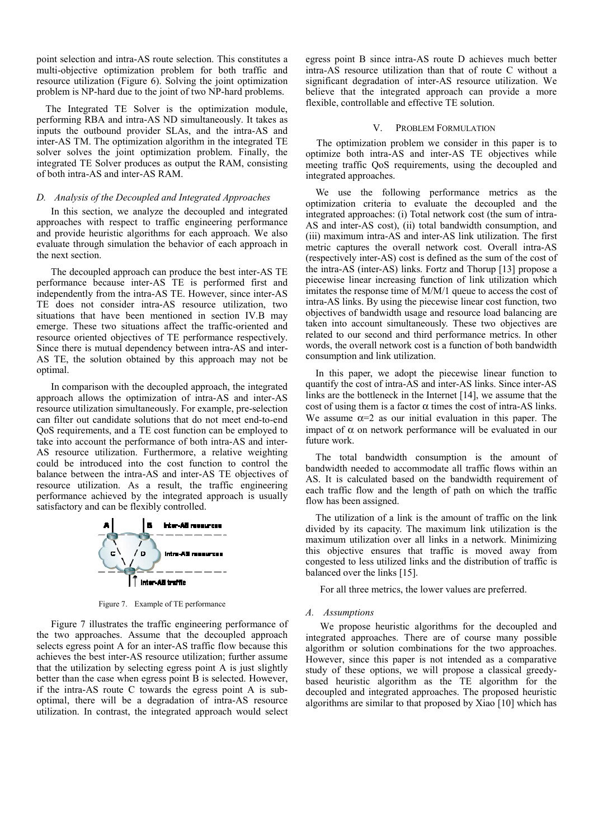point selection and intra-AS route selection. This constitutes a multi-objective optimization problem for both traffic and resource utilization (Figure 6). Solving the joint optimization problem is NP-hard due to the joint of two NP-hard problems.

The Integrated TE Solver is the optimization module, performing RBA and intra-AS ND simultaneously. It takes as inputs the outbound provider SLAs, and the intra-AS and inter-AS TM. The optimization algorithm in the integrated TE solver solves the joint optimization problem. Finally, the integrated TE Solver produces as output the RAM, consisting of both intra-AS and inter-AS RAM.

## *D. Analysis of the Decoupled and Integrated Approaches*

In this section, we analyze the decoupled and integrated approaches with respect to traffic engineering performance and provide heuristic algorithms for each approach. We also evaluate through simulation the behavior of each approach in the next section.

The decoupled approach can produce the best inter-AS TE performance because inter-AS TE is performed first and independently from the intra-AS TE. However, since inter-AS TE does not consider intra-AS resource utilization, two situations that have been mentioned in section IV.B may emerge. These two situations affect the traffic-oriented and resource oriented objectives of TE performance respectively. Since there is mutual dependency between intra-AS and inter-AS TE, the solution obtained by this approach may not be optimal.

In comparison with the decoupled approach, the integrated approach allows the optimization of intra-AS and inter-AS resource utilization simultaneously. For example, pre-selection can filter out candidate solutions that do not meet end-to-end QoS requirements, and a TE cost function can be employed to take into account the performance of both intra-AS and inter-AS resource utilization. Furthermore, a relative weighting could be introduced into the cost function to control the balance between the intra-AS and inter-AS TE objectives of resource utilization. As a result, the traffic engineering performance achieved by the integrated approach is usually satisfactory and can be flexibly controlled.



Figure 7. Example of TE performance

Figure 7 illustrates the traffic engineering performance of the two approaches. Assume that the decoupled approach selects egress point A for an inter-AS traffic flow because this achieves the best inter-AS resource utilization; further assume that the utilization by selecting egress point A is just slightly better than the case when egress point B is selected. However, if the intra-AS route C towards the egress point A is suboptimal, there will be a degradation of intra-AS resource utilization. In contrast, the integrated approach would select egress point B since intra-AS route D achieves much better intra-AS resource utilization than that of route C without a significant degradation of inter-AS resource utilization. We believe that the integrated approach can provide a more flexible, controllable and effective TE solution.

## V. PROBLEM FORMULATION

The optimization problem we consider in this paper is to optimize both intra-AS and inter-AS TE objectives while meeting traffic QoS requirements, using the decoupled and integrated approaches.

We use the following performance metrics as the optimization criteria to evaluate the decoupled and the integrated approaches: (i) Total network cost (the sum of intra-AS and inter-AS cost), (ii) total bandwidth consumption, and (iii) maximum intra-AS and inter-AS link utilization. The first metric captures the overall network cost. Overall intra-AS (respectively inter-AS) cost is defined as the sum of the cost of the intra-AS (inter-AS) links. Fortz and Thorup [13] propose a piecewise linear increasing function of link utilization which imitates the response time of M/M/1 queue to access the cost of intra-AS links. By using the piecewise linear cost function, two objectives of bandwidth usage and resource load balancing are taken into account simultaneously. These two objectives are related to our second and third performance metrics. In other words, the overall network cost is a function of both bandwidth consumption and link utilization.

In this paper, we adopt the piecewise linear function to quantify the cost of intra-AS and inter-AS links. Since inter-AS links are the bottleneck in the Internet [14], we assume that the cost of using them is a factor  $\alpha$  times the cost of intra-AS links. We assume  $\alpha=2$  as our initial evaluation in this paper. The impact of  $\alpha$  on network performance will be evaluated in our future work.

The total bandwidth consumption is the amount of bandwidth needed to accommodate all traffic flows within an AS. It is calculated based on the bandwidth requirement of each traffic flow and the length of path on which the traffic flow has been assigned.

The utilization of a link is the amount of traffic on the link divided by its capacity. The maximum link utilization is the maximum utilization over all links in a network. Minimizing this objective ensures that traffic is moved away from congested to less utilized links and the distribution of traffic is balanced over the links [15].

For all three metrics, the lower values are preferred.

#### *A. Assumptions*

We propose heuristic algorithms for the decoupled and integrated approaches. There are of course many possible algorithm or solution combinations for the two approaches. However, since this paper is not intended as a comparative study of these options, we will propose a classical greedybased heuristic algorithm as the TE algorithm for the decoupled and integrated approaches. The proposed heuristic algorithms are similar to that proposed by Xiao [10] which has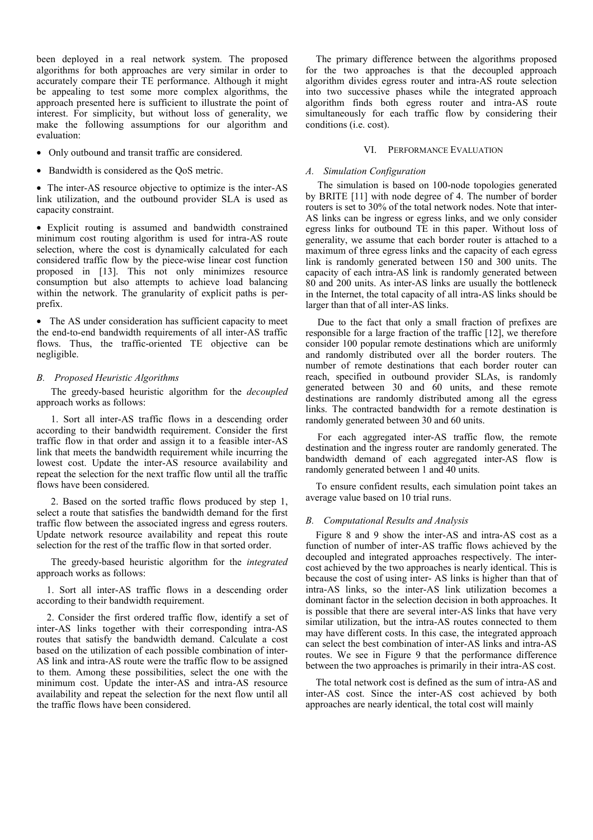been deployed in a real network system. The proposed algorithms for both approaches are very similar in order to accurately compare their TE performance. Although it might be appealing to test some more complex algorithms, the approach presented here is sufficient to illustrate the point of interest. For simplicity, but without loss of generality, we make the following assumptions for our algorithm and evaluation:

- Only outbound and transit traffic are considered.
- Bandwidth is considered as the QoS metric.

• The inter-AS resource objective to optimize is the inter-AS link utilization, and the outbound provider SLA is used as capacity constraint.

• Explicit routing is assumed and bandwidth constrained minimum cost routing algorithm is used for intra-AS route selection, where the cost is dynamically calculated for each considered traffic flow by the piece-wise linear cost function proposed in [13]. This not only minimizes resource consumption but also attempts to achieve load balancing within the network. The granularity of explicit paths is perprefix.

• The AS under consideration has sufficient capacity to meet the end-to-end bandwidth requirements of all inter-AS traffic flows. Thus, the traffic-oriented TE objective can be negligible.

# *B. Proposed Heuristic Algorithms*

The greedy-based heuristic algorithm for the *decoupled* approach works as follows:

1. Sort all inter-AS traffic flows in a descending order according to their bandwidth requirement. Consider the first traffic flow in that order and assign it to a feasible inter-AS link that meets the bandwidth requirement while incurring the lowest cost. Update the inter-AS resource availability and repeat the selection for the next traffic flow until all the traffic flows have been considered.

2. Based on the sorted traffic flows produced by step 1, select a route that satisfies the bandwidth demand for the first traffic flow between the associated ingress and egress routers. Update network resource availability and repeat this route selection for the rest of the traffic flow in that sorted order.

The greedy-based heuristic algorithm for the *integrated* approach works as follows:

1. Sort all inter-AS traffic flows in a descending order according to their bandwidth requirement.

2. Consider the first ordered traffic flow, identify a set of inter-AS links together with their corresponding intra-AS routes that satisfy the bandwidth demand. Calculate a cost based on the utilization of each possible combination of inter-AS link and intra-AS route were the traffic flow to be assigned to them. Among these possibilities, select the one with the minimum cost. Update the inter-AS and intra-AS resource availability and repeat the selection for the next flow until all the traffic flows have been considered.

The primary difference between the algorithms proposed for the two approaches is that the decoupled approach algorithm divides egress router and intra-AS route selection into two successive phases while the integrated approach algorithm finds both egress router and intra-AS route simultaneously for each traffic flow by considering their conditions (i.e. cost).

# VI. PERFORMANCE EVALUATION

# *A. Simulation Configuration*

The simulation is based on 100-node topologies generated by BRITE [11] with node degree of 4. The number of border routers is set to 30% of the total network nodes. Note that inter-AS links can be ingress or egress links, and we only consider egress links for outbound TE in this paper. Without loss of generality, we assume that each border router is attached to a maximum of three egress links and the capacity of each egress link is randomly generated between 150 and 300 units. The capacity of each intra-AS link is randomly generated between 80 and 200 units. As inter-AS links are usually the bottleneck in the Internet, the total capacity of all intra-AS links should be larger than that of all inter-AS links.

Due to the fact that only a small fraction of prefixes are responsible for a large fraction of the traffic [12], we therefore consider 100 popular remote destinations which are uniformly and randomly distributed over all the border routers. The number of remote destinations that each border router can reach, specified in outbound provider SLAs, is randomly generated between 30 and 60 units, and these remote destinations are randomly distributed among all the egress links. The contracted bandwidth for a remote destination is randomly generated between 30 and 60 units.

For each aggregated inter-AS traffic flow, the remote destination and the ingress router are randomly generated. The bandwidth demand of each aggregated inter-AS flow is randomly generated between 1 and 40 units.

To ensure confident results, each simulation point takes an average value based on 10 trial runs.

# *B. Computational Results and Analysis*

Figure 8 and 9 show the inter-AS and intra-AS cost as a function of number of inter-AS traffic flows achieved by the decoupled and integrated approaches respectively. The intercost achieved by the two approaches is nearly identical. This is because the cost of using inter- AS links is higher than that of intra-AS links, so the inter-AS link utilization becomes a dominant factor in the selection decision in both approaches. It is possible that there are several inter-AS links that have very similar utilization, but the intra-AS routes connected to them may have different costs. In this case, the integrated approach can select the best combination of inter-AS links and intra-AS routes. We see in Figure 9 that the performance difference between the two approaches is primarily in their intra-AS cost.

The total network cost is defined as the sum of intra-AS and inter-AS cost. Since the inter-AS cost achieved by both approaches are nearly identical, the total cost will mainly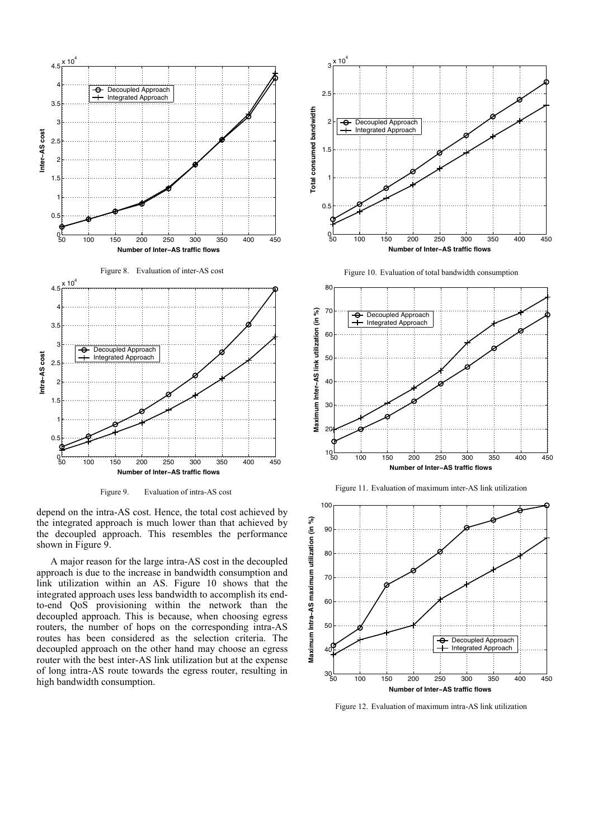

Figure 9. Evaluation of intra-AS cost

depend on the intra-AS cost. Hence, the total cost achieved by the integrated approach is much lower than that achieved by the decoupled approach. This resembles the performance shown in Figure 9.

A major reason for the large intra-AS cost in the decoupled approach is due to the increase in bandwidth consumption and link utilization within an AS. Figure 10 shows that the integrated approach uses less bandwidth to accomplish its endto-end QoS provisioning within the network than the decoupled approach. This is because, when choosing egress routers, the number of hops on the corresponding intra-AS routes has been considered as the selection criteria. The decoupled approach on the other hand may choose an egress router with the best inter-AS link utilization but at the expense of long intra-AS route towards the egress router, resulting in high bandwidth consumption.











Figure 12. Evaluation of maximum intra-AS link utilization